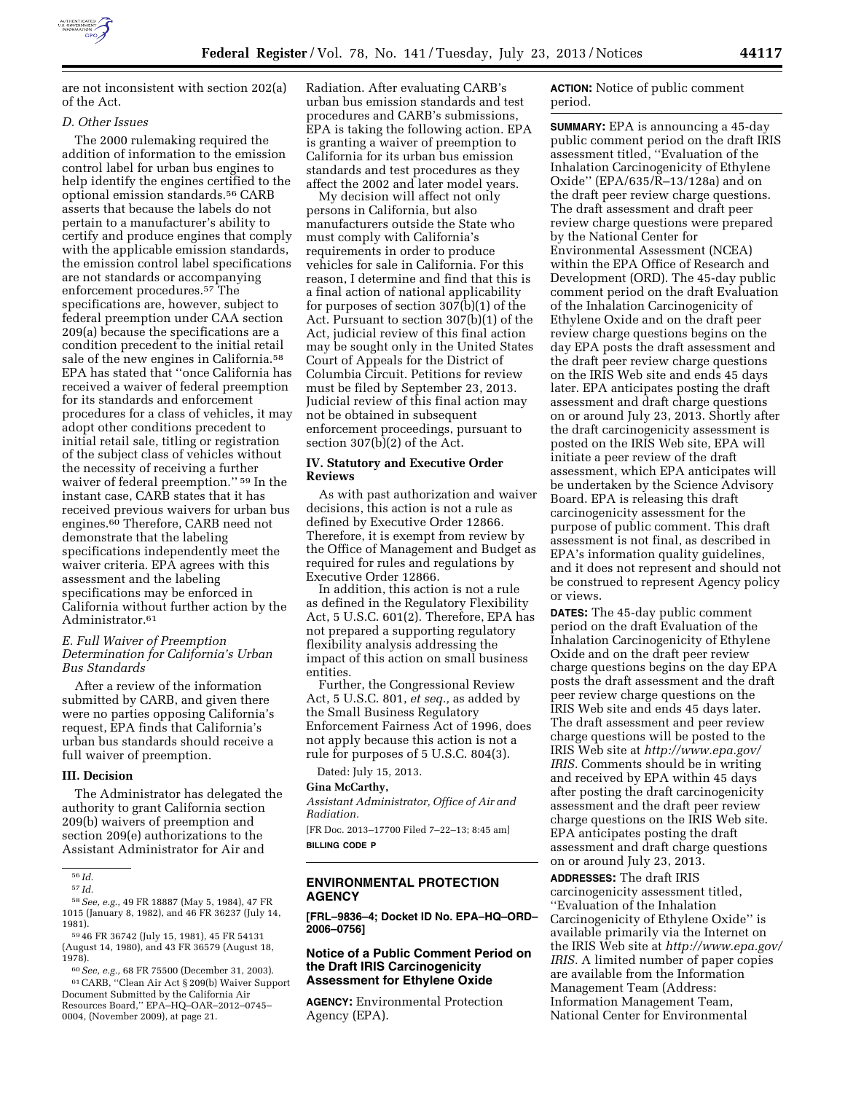

are not inconsistent with section 202(a) of the Act.

#### *D. Other Issues*

The 2000 rulemaking required the addition of information to the emission control label for urban bus engines to help identify the engines certified to the optional emission standards.56 CARB asserts that because the labels do not pertain to a manufacturer's ability to certify and produce engines that comply with the applicable emission standards, the emission control label specifications are not standards or accompanying enforcement procedures.57 The specifications are, however, subject to federal preemption under CAA section 209(a) because the specifications are a condition precedent to the initial retail sale of the new engines in California.58 EPA has stated that ''once California has received a waiver of federal preemption for its standards and enforcement procedures for a class of vehicles, it may adopt other conditions precedent to initial retail sale, titling or registration of the subject class of vehicles without the necessity of receiving a further waiver of federal preemption.'' 59 In the instant case, CARB states that it has received previous waivers for urban bus engines.60 Therefore, CARB need not demonstrate that the labeling specifications independently meet the waiver criteria. EPA agrees with this assessment and the labeling specifications may be enforced in California without further action by the Administrator.<sup>61</sup>

# *E. Full Waiver of Preemption Determination for California's Urban Bus Standards*

After a review of the information submitted by CARB, and given there were no parties opposing California's request, EPA finds that California's urban bus standards should receive a full waiver of preemption.

# **III. Decision**

The Administrator has delegated the authority to grant California section 209(b) waivers of preemption and section 209(e) authorizations to the Assistant Administrator for Air and

58*See, e.g.,* 49 FR 18887 (May 5, 1984), 47 FR 1015 (January 8, 1982), and 46 FR 36237 (July 14, 1981).

59 46 FR 36742 (July 15, 1981), 45 FR 54131 (August 14, 1980), and 43 FR 36579 (August 18, 1978).

60*See, e.g.,* 68 FR 75500 (December 31, 2003). 61CARB, ''Clean Air Act § 209(b) Waiver Support Document Submitted by the California Air Resources Board,'' EPA–HQ–OAR–2012–0745– 0004, (November 2009), at page 21.

Radiation. After evaluating CARB's urban bus emission standards and test procedures and CARB's submissions, EPA is taking the following action. EPA is granting a waiver of preemption to California for its urban bus emission standards and test procedures as they affect the 2002 and later model years.

My decision will affect not only persons in California, but also manufacturers outside the State who must comply with California's requirements in order to produce vehicles for sale in California. For this reason, I determine and find that this is a final action of national applicability for purposes of section 307(b)(1) of the Act. Pursuant to section 307(b)(1) of the Act, judicial review of this final action may be sought only in the United States Court of Appeals for the District of Columbia Circuit. Petitions for review must be filed by September 23, 2013. Judicial review of this final action may not be obtained in subsequent enforcement proceedings, pursuant to section 307(b)(2) of the Act.

# **IV. Statutory and Executive Order Reviews**

As with past authorization and waiver decisions, this action is not a rule as defined by Executive Order 12866. Therefore, it is exempt from review by the Office of Management and Budget as required for rules and regulations by Executive Order 12866.

In addition, this action is not a rule as defined in the Regulatory Flexibility Act, 5 U.S.C. 601(2). Therefore, EPA has not prepared a supporting regulatory flexibility analysis addressing the impact of this action on small business entities.

Further, the Congressional Review Act, 5 U.S.C. 801, *et seq.,* as added by the Small Business Regulatory Enforcement Fairness Act of 1996, does not apply because this action is not a rule for purposes of 5 U.S.C. 804(3).

Dated: July 15, 2013.

#### **Gina McCarthy,**

*Assistant Administrator, Office of Air and Radiation.* 

[FR Doc. 2013–17700 Filed 7–22–13; 8:45 am] **BILLING CODE P** 

# **ENVIRONMENTAL PROTECTION AGENCY**

**[FRL–9836–4; Docket ID No. EPA–HQ–ORD– 2006–0756]** 

#### **Notice of a Public Comment Period on the Draft IRIS Carcinogenicity Assessment for Ethylene Oxide**

**AGENCY:** Environmental Protection Agency (EPA).

**ACTION:** Notice of public comment period.

**SUMMARY:** EPA is announcing a 45-day public comment period on the draft IRIS assessment titled, ''Evaluation of the Inhalation Carcinogenicity of Ethylene Oxide'' (EPA/635/R–13/128a) and on the draft peer review charge questions. The draft assessment and draft peer review charge questions were prepared by the National Center for Environmental Assessment (NCEA) within the EPA Office of Research and Development (ORD). The 45-day public comment period on the draft Evaluation of the Inhalation Carcinogenicity of Ethylene Oxide and on the draft peer review charge questions begins on the day EPA posts the draft assessment and the draft peer review charge questions on the IRIS Web site and ends 45 days later. EPA anticipates posting the draft assessment and draft charge questions on or around July 23, 2013. Shortly after the draft carcinogenicity assessment is posted on the IRIS Web site, EPA will initiate a peer review of the draft assessment, which EPA anticipates will be undertaken by the Science Advisory Board. EPA is releasing this draft carcinogenicity assessment for the purpose of public comment. This draft assessment is not final, as described in EPA's information quality guidelines, and it does not represent and should not be construed to represent Agency policy or views.

**DATES:** The 45-day public comment period on the draft Evaluation of the Inhalation Carcinogenicity of Ethylene Oxide and on the draft peer review charge questions begins on the day EPA posts the draft assessment and the draft peer review charge questions on the IRIS Web site and ends 45 days later. The draft assessment and peer review charge questions will be posted to the IRIS Web site at *[http://www.epa.gov/](http://www.epa.gov/IRIS)  [IRIS.](http://www.epa.gov/IRIS)* Comments should be in writing and received by EPA within 45 days after posting the draft carcinogenicity assessment and the draft peer review charge questions on the IRIS Web site. EPA anticipates posting the draft assessment and draft charge questions on or around July 23, 2013.

**ADDRESSES:** The draft IRIS carcinogenicity assessment titled, ''Evaluation of the Inhalation Carcinogenicity of Ethylene Oxide'' is available primarily via the Internet on the IRIS Web site at *[http://www.epa.gov/](http://www.epa.gov/IRIS)  [IRIS.](http://www.epa.gov/IRIS)* A limited number of paper copies are available from the Information Management Team (Address: Information Management Team, National Center for Environmental

<sup>56</sup> *Id.* 

<sup>57</sup> *Id.*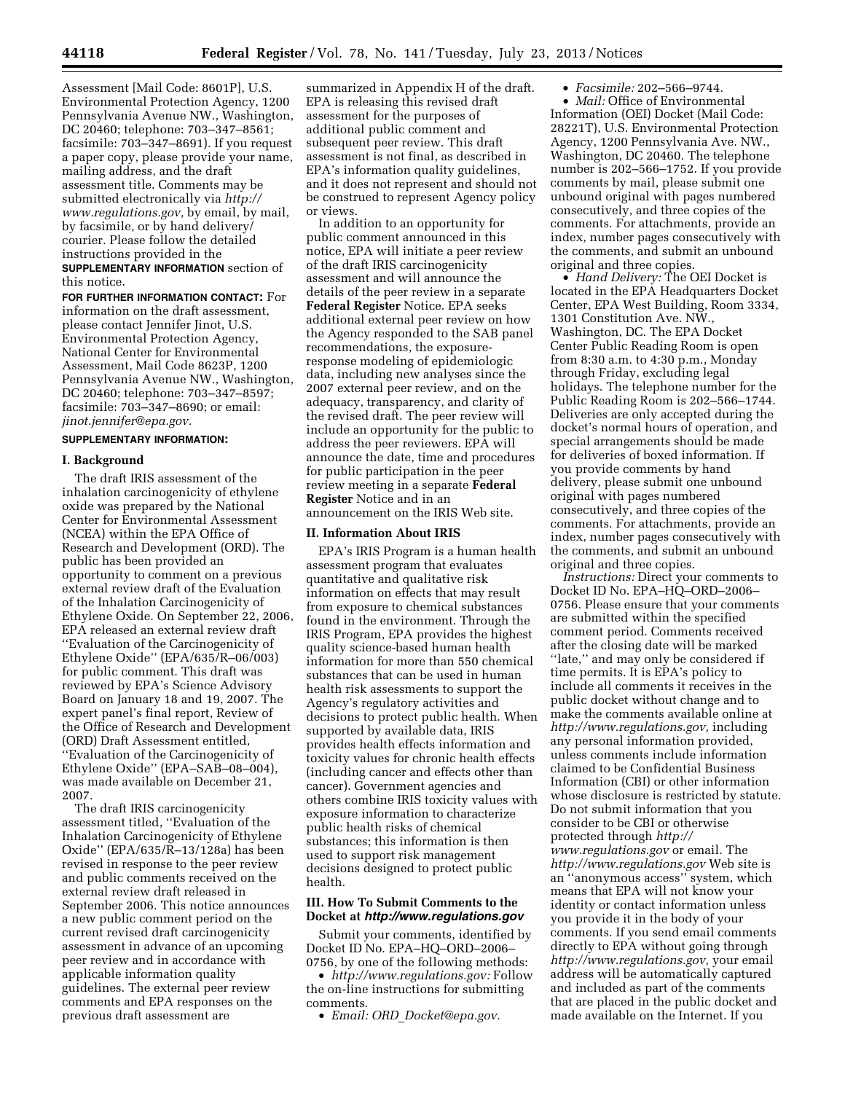Assessment [Mail Code: 8601P], U.S. Environmental Protection Agency, 1200 Pennsylvania Avenue NW., Washington, DC 20460; telephone: 703–347–8561; facsimile: 703–347–8691). If you request a paper copy, please provide your name, mailing address, and the draft assessment title. Comments may be submitted electronically via *[http://](http://www.regulations.gov) [www.regulations.gov,](http://www.regulations.gov)* by email, by mail, by facsimile, or by hand delivery/ courier. Please follow the detailed instructions provided in the

**SUPPLEMENTARY INFORMATION** section of this notice.

**FOR FURTHER INFORMATION CONTACT:** For information on the draft assessment, please contact Jennifer Jinot, U.S. Environmental Protection Agency, National Center for Environmental Assessment, Mail Code 8623P, 1200 Pennsylvania Avenue NW., Washington, DC 20460; telephone: 703–347–8597; facsimile: 703–347–8690; or email: *[jinot.jennifer@epa.gov.](mailto:jinot.jennifer@epa.gov)* 

# **SUPPLEMENTARY INFORMATION:**

#### **I. Background**

The draft IRIS assessment of the inhalation carcinogenicity of ethylene oxide was prepared by the National Center for Environmental Assessment (NCEA) within the EPA Office of Research and Development (ORD). The public has been provided an opportunity to comment on a previous external review draft of the Evaluation of the Inhalation Carcinogenicity of Ethylene Oxide. On September 22, 2006, EPA released an external review draft ''Evaluation of the Carcinogenicity of Ethylene Oxide'' (EPA/635/R–06/003) for public comment. This draft was reviewed by EPA's Science Advisory Board on January 18 and 19, 2007. The expert panel's final report, Review of the Office of Research and Development (ORD) Draft Assessment entitled, ''Evaluation of the Carcinogenicity of Ethylene Oxide'' (EPA–SAB–08–004), was made available on December 21, 2007.

The draft IRIS carcinogenicity assessment titled, ''Evaluation of the Inhalation Carcinogenicity of Ethylene Oxide'' (EPA/635/R–13/128a) has been revised in response to the peer review and public comments received on the external review draft released in September 2006. This notice announces a new public comment period on the current revised draft carcinogenicity assessment in advance of an upcoming peer review and in accordance with applicable information quality guidelines. The external peer review comments and EPA responses on the previous draft assessment are

summarized in Appendix H of the draft. EPA is releasing this revised draft assessment for the purposes of additional public comment and subsequent peer review. This draft assessment is not final, as described in EPA's information quality guidelines, and it does not represent and should not be construed to represent Agency policy or views.

In addition to an opportunity for public comment announced in this notice, EPA will initiate a peer review of the draft IRIS carcinogenicity assessment and will announce the details of the peer review in a separate **Federal Register** Notice. EPA seeks additional external peer review on how the Agency responded to the SAB panel recommendations, the exposureresponse modeling of epidemiologic data, including new analyses since the 2007 external peer review, and on the adequacy, transparency, and clarity of the revised draft. The peer review will include an opportunity for the public to address the peer reviewers. EPA will announce the date, time and procedures for public participation in the peer review meeting in a separate **Federal Register** Notice and in an announcement on the IRIS Web site.

# **II. Information About IRIS**

EPA's IRIS Program is a human health assessment program that evaluates quantitative and qualitative risk information on effects that may result from exposure to chemical substances found in the environment. Through the IRIS Program, EPA provides the highest quality science-based human health information for more than 550 chemical substances that can be used in human health risk assessments to support the Agency's regulatory activities and decisions to protect public health. When supported by available data, IRIS provides health effects information and toxicity values for chronic health effects (including cancer and effects other than cancer). Government agencies and others combine IRIS toxicity values with exposure information to characterize public health risks of chemical substances; this information is then used to support risk management decisions designed to protect public health.

# **III. How To Submit Comments to the Docket at** *<http://www.regulations.gov>*

Submit your comments, identified by Docket ID No. EPA–HQ–ORD–2006– 0756, by one of the following methods:

• *[http://www.regulations.gov:](http://www.regulations.gov)* Follow the on-line instructions for submitting comments.

• *Email: ORD*\_*[Docket@epa.gov.](mailto:ORD_Docket@epa.gov)* 

• *Facsimile:* 202–566–9744.

• *Mail:* Office of Environmental Information (OEI) Docket (Mail Code: 28221T), U.S. Environmental Protection Agency, 1200 Pennsylvania Ave. NW., Washington, DC 20460. The telephone number is 202–566–1752. If you provide comments by mail, please submit one unbound original with pages numbered consecutively, and three copies of the comments. For attachments, provide an index, number pages consecutively with the comments, and submit an unbound original and three copies.

• *Hand Delivery:* The OEI Docket is located in the EPA Headquarters Docket Center, EPA West Building, Room 3334, 1301 Constitution Ave. NW., Washington, DC. The EPA Docket Center Public Reading Room is open from 8:30 a.m. to 4:30 p.m., Monday through Friday, excluding legal holidays. The telephone number for the Public Reading Room is 202–566–1744. Deliveries are only accepted during the docket's normal hours of operation, and special arrangements should be made for deliveries of boxed information. If you provide comments by hand delivery, please submit one unbound original with pages numbered consecutively, and three copies of the comments. For attachments, provide an index, number pages consecutively with the comments, and submit an unbound original and three copies.

*Instructions:* Direct your comments to Docket ID No. EPA–HQ–ORD–2006– 0756. Please ensure that your comments are submitted within the specified comment period. Comments received after the closing date will be marked ''late,'' and may only be considered if time permits. It is EPA's policy to include all comments it receives in the public docket without change and to make the comments available online at *[http://www.regulations.gov,](http://www.regulations.gov)* including any personal information provided, unless comments include information claimed to be Confidential Business Information (CBI) or other information whose disclosure is restricted by statute. Do not submit information that you consider to be CBI or otherwise protected through *[http://](http://www.regulations.gov)  [www.regulations.gov](http://www.regulations.gov)* or email. The *<http://www.regulations.gov>* Web site is an ''anonymous access'' system, which means that EPA will not know your identity or contact information unless you provide it in the body of your comments. If you send email comments directly to EPA without going through *[http://www.regulations.gov,](http://www.regulations.gov)* your email address will be automatically captured and included as part of the comments that are placed in the public docket and made available on the Internet. If you